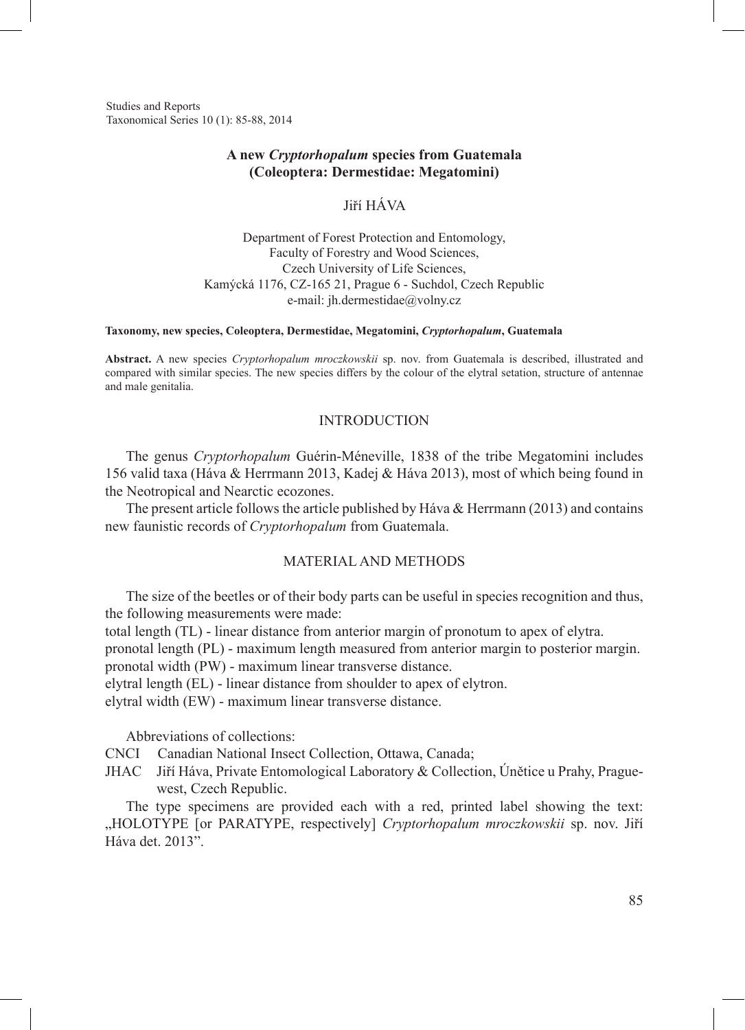Studies and Reports Taxonomical Series 10 (1): 85-88, 2014

## **A new** *Cryptorhopalum* **species from Guatemala (Coleoptera: Dermestidae: Megatomini)**

# Jiří Háva

Department of Forest Protection and Entomology, Faculty of Forestry and Wood Sciences, Czech University of Life Sciences, Kamýcká 1176, CZ-165 21, Prague 6 - Suchdol, Czech Republic e-mail: jh.dermestidae@volny.cz

#### **Taxonomy, new species, Coleoptera, Dermestidae, Megatomini,** *Cryptorhopalum***, Guatemala**

**Abstract.** A new species *Cryptorhopalum mroczkowskii* sp. nov. from Guatemala is described, illustrated and compared with similar species. The new species differs by the colour of the elytral setation, structure of antennae and male genitalia.

## **INTRODUCTION**

The genus *Cryptorhopalum* Guérin-Méneville, 1838 of the tribe Megatomini includes 156 valid taxa (Háva & Herrmann 2013, Kadej & Háva 2013), most of which being found in the Neotropical and Nearctic ecozones.

The present article follows the article published by Háva  $\&$  Herrmann (2013) and contains new faunistic records of *Cryptorhopalum* from Guatemala.

## Material and Methods

The size of the beetles or of their body parts can be useful in species recognition and thus, the following measurements were made:

total length (TL) - linear distance from anterior margin of pronotum to apex of elytra.

pronotal length (PL) - maximum length measured from anterior margin to posterior margin.

pronotal width (PW) - maximum linear transverse distance.

elytral length (EL) - linear distance from shoulder to apex of elytron.

elytral width (EW) - maximum linear transverse distance.

Abbreviations of collections:

CNCI Canadian National Insect Collection, Ottawa, Canada;

JHAC Jiří Háva, Private Entomological Laboratory & Collection, Únětice u Prahy, Praguewest, Czech Republic.

The type specimens are provided each with a red, printed label showing the text: "HOLOTYPE [or PARATYPE, respectively] *Cryptorhopalum mroczkowskii* sp. nov. Jiří Háva det. 2013".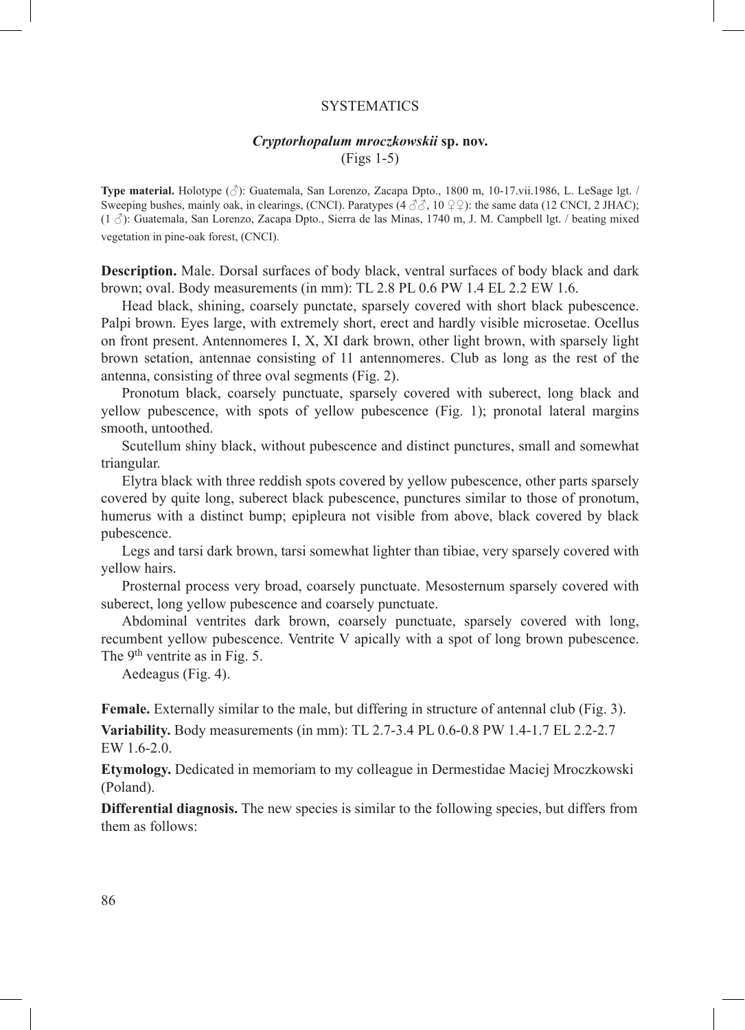## **SYSTEMATICS**

# *Cryptorhopalum mroczkowskii* **sp. nov.**

(Figs 1-5)

**Type material.** Holotype (♂): Guatemala, San Lorenzo, Zacapa Dpto., 1800 m, 10-17.vii.1986, L. LeSage lgt. / Sweeping bushes, mainly oak, in clearings, (CNCI). Paratypes ( $4 \text{ } \partial \dot{\partial}$ ,  $10 \text{ } \mathcal{Q}$ ): the same data (12 CNCI, 2 JHAC); (1 ♂): Guatemala, San Lorenzo, Zacapa Dpto., Sierra de las Minas, 1740 m, J. M. Campbell lgt. / beating mixed vegetation in pine-oak forest, (CNCI).

**Description.** Male. Dorsal surfaces of body black, ventral surfaces of body black and dark brown; oval. Body measurements (in mm): TL 2.8 PL 0.6 PW 1.4 EL 2.2 EW 1.6.

Head black, shining, coarsely punctate, sparsely covered with short black pubescence. Palpi brown. Eyes large, with extremely short, erect and hardly visible microsetae. Ocellus on front present. Antennomeres I, X, XI dark brown, other light brown, with sparsely light brown setation, antennae consisting of 11 antennomeres. Club as long as the rest of the antenna, consisting of three oval segments (Fig. 2).

Pronotum black, coarsely punctuate, sparsely covered with suberect, long black and yellow pubescence, with spots of yellow pubescence (Fig. 1); pronotal lateral margins smooth, untoothed.

Scutellum shiny black, without pubescence and distinct punctures, small and somewhat triangular.

Elytra black with three reddish spots covered by yellow pubescence, other parts sparsely covered by quite long, suberect black pubescence, punctures similar to those of pronotum, humerus with a distinct bump; epipleura not visible from above, black covered by black pubescence.

Legs and tarsi dark brown, tarsi somewhat lighter than tibiae, very sparsely covered with yellow hairs.

Prosternal process very broad, coarsely punctuate. Mesosternum sparsely covered with suberect, long yellow pubescence and coarsely punctuate.

Abdominal ventrites dark brown, coarsely punctuate, sparsely covered with long, recumbent yellow pubescence. Ventrite V apically with a spot of long brown pubescence. The 9<sup>th</sup> ventrite as in Fig. 5.

Aedeagus (Fig. 4).

**Female.** Externally similar to the male, but differing in structure of antennal club (Fig. 3).

**Variability.** Body measurements (in mm): TL 2.7-3.4 PL 0.6-0.8 PW 1.4-1.7 EL 2.2-2.7 EW 1.6-2.0.

**Etymology.** Dedicated in memoriam to my colleague in Dermestidae Maciej Mroczkowski (Poland).

**Differential diagnosis.** The new species is similar to the following species, but differs from them as follows: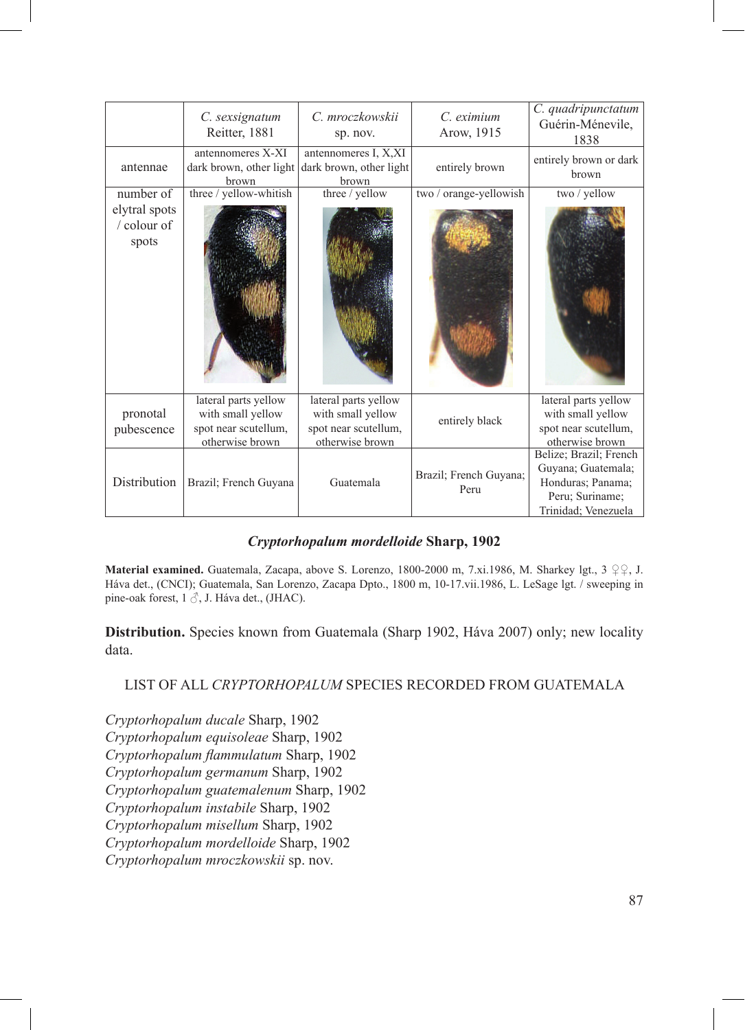|                                       | C. sexsignatum<br>Reitter, 1881                                                      | C. mroczkowskii<br>sp. nov.                                                          | $C$ eximium<br>Arow, 1915      | C. quadripunctatum<br>Guérin-Ménevile,<br>1838                                                              |
|---------------------------------------|--------------------------------------------------------------------------------------|--------------------------------------------------------------------------------------|--------------------------------|-------------------------------------------------------------------------------------------------------------|
| antennae                              | antennomeres X-XI<br>dark brown, other light<br>brown                                | antennomeres I, X, XI<br>dark brown, other light<br>brown                            | entirely brown                 | entirely brown or dark<br>brown                                                                             |
| number of                             | three / yellow-whitish                                                               | three / yellow                                                                       | two / orange-yellowish         | two / yellow                                                                                                |
| elytral spots<br>/ colour of<br>spots |                                                                                      |                                                                                      |                                |                                                                                                             |
| pronotal<br>pubescence                | lateral parts yellow<br>with small yellow<br>spot near scutellum,<br>otherwise brown | lateral parts yellow<br>with small yellow<br>spot near scutellum,<br>otherwise brown | entirely black                 | lateral parts yellow<br>with small yellow<br>spot near scutellum,<br>otherwise brown                        |
| Distribution                          | Brazil; French Guyana                                                                | Guatemala                                                                            | Brazil; French Guyana;<br>Peru | Belize; Brazil; French<br>Guyana; Guatemala;<br>Honduras; Panama;<br>Peru; Suriname;<br>Trinidad; Venezuela |

# *Cryptorhopalum mordelloide* **Sharp, 1902**

**Material examined.** Guatemala, Zacapa, above S. Lorenzo, 1800-2000 m, 7.xi.1986, M. Sharkey lgt., 3 ♀♀, J. Háva det., (CNCI); Guatemala, San Lorenzo, Zacapa Dpto., 1800 m, 10-17.vii.1986, L. LeSage lgt. / sweeping in pine-oak forest, 1 ♂, J. Háva det., (JHAC).

**Distribution.** Species known from Guatemala (Sharp 1902, Háva 2007) only; new locality data.

# List of all *Cryptorhopalum* species recorded from Guatemala

*Cryptorhopalum ducale* Sharp, 1902 *Cryptorhopalum equisoleae* Sharp, 1902 *Cryptorhopalum flammulatum* Sharp, 1902 *Cryptorhopalum germanum* Sharp, 1902 *Cryptorhopalum guatemalenum* Sharp, 1902 *Cryptorhopalum instabile* Sharp, 1902 *Cryptorhopalum misellum* Sharp, 1902 *Cryptorhopalum mordelloide* Sharp, 1902 *Cryptorhopalum mroczkowskii* sp. nov.